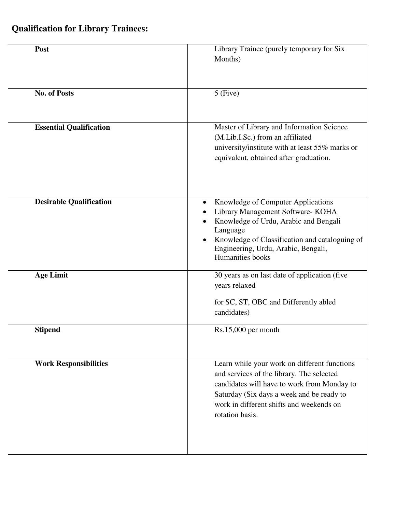## **Qualification for Library Trainees:**

| Post                           | Library Trainee (purely temporary for Six<br>Months)                                                                                                                                                                                                 |
|--------------------------------|------------------------------------------------------------------------------------------------------------------------------------------------------------------------------------------------------------------------------------------------------|
| <b>No. of Posts</b>            | $5$ (Five)                                                                                                                                                                                                                                           |
| <b>Essential Qualification</b> | Master of Library and Information Science<br>(M.Lib.I.Sc.) from an affiliated<br>university/institute with at least 55% marks or<br>equivalent, obtained after graduation.                                                                           |
| <b>Desirable Qualification</b> | Knowledge of Computer Applications<br>Library Management Software- KOHA<br>Knowledge of Urdu, Arabic and Bengali<br>Language<br>Knowledge of Classification and cataloguing of<br>Engineering, Urdu, Arabic, Bengali,<br>Humanities books            |
| <b>Age Limit</b>               | 30 years as on last date of application (five<br>years relaxed<br>for SC, ST, OBC and Differently abled<br>candidates)                                                                                                                               |
| <b>Stipend</b>                 | $Rs.15,000$ per month                                                                                                                                                                                                                                |
| <b>Work Responsibilities</b>   | Learn while your work on different functions<br>and services of the library. The selected<br>candidates will have to work from Monday to<br>Saturday (Six days a week and be ready to<br>work in different shifts and weekends on<br>rotation basis. |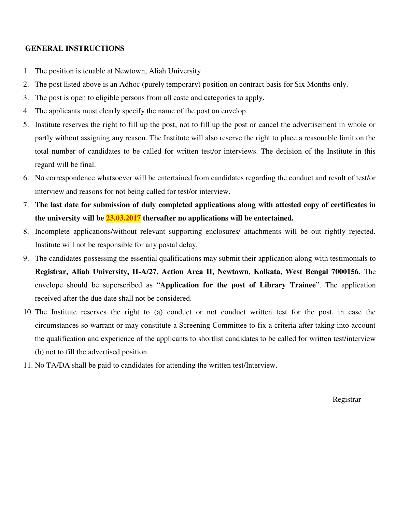## **GENERAL INSTRUCTIONS**

- 1. The position is tenable at Newtown, Aliah University
- 2. The post listed above is an Adhoc (purely temporary) position on contract basis for Six Months only.
- 3. The post is open to eligible persons from all caste and categories to apply.
- 4. The applicants must clearly specify the name of the post on envelop.
- 5. Institute reserves the right to fill up the post, not to fill up the post or cancel the advertisement in whole or partly without assigning any reason. The Institute will also reserve the right to place a reasonable limit on the total number of candidates to be called for written test/or interviews. The decision of the Institute in this regard will be final.
- 6. No correspondence whatsoever will be entertained from candidates regarding the conduct and result of test/or interview and reasons for not being called for test/or interview.
- 7. **The last date for submission of duly completed applications along with attested copy of certificates in the university will be 23.03.2017 thereafter no applications will be entertained.**
- 8. Incomplete applications/without relevant supporting enclosures/ attachments will be out rightly rejected. Institute will not be responsible for any postal delay.
- 9. The candidates possessing the essential qualifications may submit their application along with testimonials to **Registrar, Aliah University, II-A/27, Action Area II, Newtown, Kolkata, West Bengal 7000156.** The envelope should be superscribed as "**Application for the post of Library Trainee**". The application received after the due date shall not be considered.
- 10. The Institute reserves the right to (a) conduct or not conduct written test for the post, in case the circumstances so warrant or may constitute a Screening Committee to fix a criteria after taking into account the qualification and experience of the applicants to shortlist candidates to be called for written test/interview (b) not to fill the advertised position.
- 11. No TA/DA shall be paid to candidates for attending the written test/Interview.

Registrar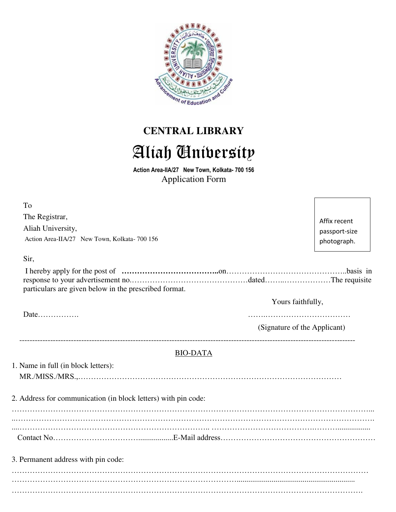

## **CENTRAL LIBRARY**  Aliah University

**Action Area-IIA/27 New Town, Kolkata- 700 156** Application Form

| To                                                             |                 |                              |
|----------------------------------------------------------------|-----------------|------------------------------|
|                                                                |                 |                              |
| The Registrar,                                                 |                 | Affix recent                 |
| Aliah University,                                              |                 | passport-size                |
| Action Area-IIA/27 New Town, Kolkata- 700 156                  |                 | photograph.                  |
|                                                                |                 |                              |
| Sir,                                                           |                 |                              |
|                                                                |                 |                              |
|                                                                |                 |                              |
| particulars are given below in the prescribed format.          |                 |                              |
|                                                                |                 | Yours faithfully,            |
| Date                                                           |                 |                              |
|                                                                |                 |                              |
|                                                                |                 | (Signature of the Applicant) |
|                                                                |                 |                              |
|                                                                | <b>BIO-DATA</b> |                              |
| 1. Name in full (in block letters):                            |                 |                              |
|                                                                |                 |                              |
|                                                                |                 |                              |
| 2. Address for communication (in block letters) with pin code: |                 |                              |
|                                                                |                 |                              |
|                                                                |                 |                              |
|                                                                |                 |                              |
|                                                                |                 |                              |
|                                                                |                 |                              |
| 3. Permanent address with pin code:                            |                 |                              |
|                                                                |                 |                              |
|                                                                |                 |                              |
|                                                                |                 |                              |
|                                                                |                 |                              |
|                                                                |                 |                              |